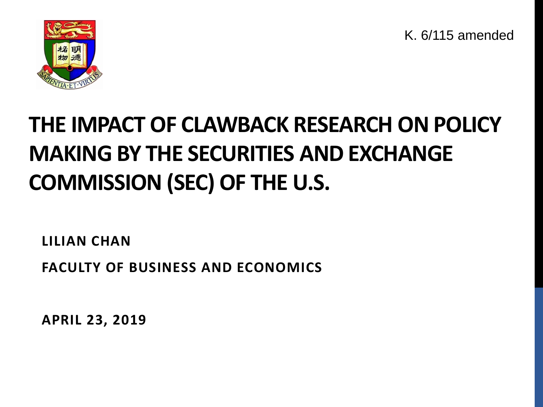K. 6/115 amended



#### **THE IMPACT OF CLAWBACK RESEARCH ON POLICY MAKING BY THE SECURITIES AND EXCHANGE COMMISSION (SEC) OF THE U.S.**

**LILIAN CHAN**

**FACULTY OF BUSINESS AND ECONOMICS**

**APRIL 23, 2019**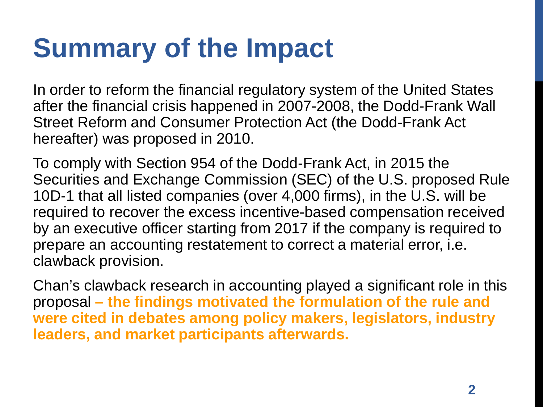#### **Summary of the Impact**

In order to reform the financial regulatory system of the United States after the financial crisis happened in 2007-2008, the Dodd-Frank Wall Street Reform and Consumer Protection Act (the Dodd-Frank Act hereafter) was proposed in 2010.

To comply with Section 954 of the Dodd-Frank Act, in 2015 the Securities and Exchange Commission (SEC) of the U.S. proposed Rule 10D-1 that all listed companies (over 4,000 firms), in the U.S. will be required to recover the excess incentive-based compensation received by an executive officer starting from 2017 if the company is required to prepare an accounting restatement to correct a material error, i.e. clawback provision.

Chan's clawback research in accounting played a significant role in this proposal **– the findings motivated the formulation of the rule and were cited in debates among policy makers, legislators, industry leaders, and market participants afterwards.**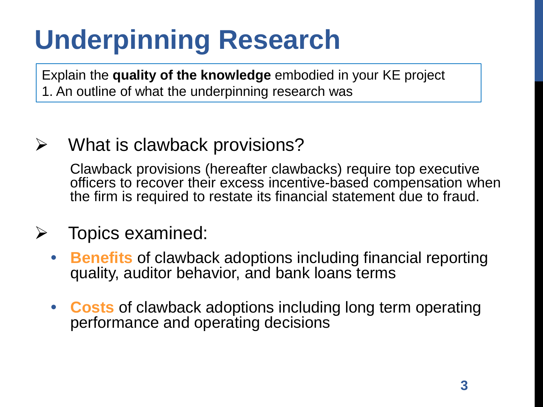Explain the **quality of the knowledge** embodied in your KE project 1. An outline of what the underpinning research was

#### $\triangleright$  What is clawback provisions?

Clawback provisions (hereafter clawbacks) require top executive officers to recover their excess incentive-based compensation when the firm is required to restate its financial statement due to fraud.

#### $\triangleright$  Topics examined:

- **Benefits** of clawback adoptions including financial reporting quality, auditor behavior, and bank loans terms
- **Costs** of clawback adoptions including long term operating performance and operating decisions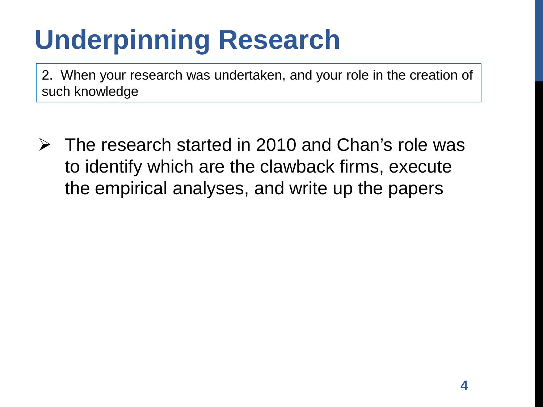2. When your research was undertaken, and your role in the creation of such knowledge

 $\triangleright$  The research started in 2010 and Chan's role was to identify which are the clawback firms, execute the empirical analyses, and write up the papers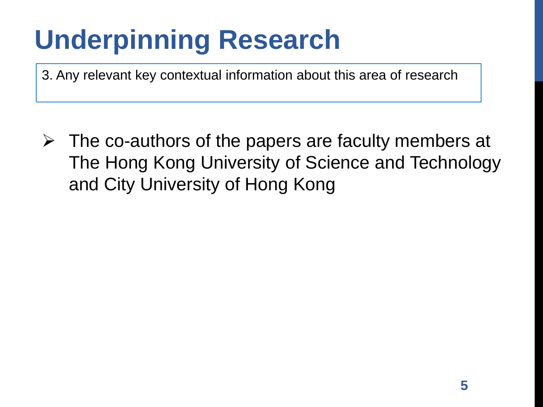3. Any relevant key contextual information about this area of research

 $\triangleright$  The co-authors of the papers are faculty members at The Hong Kong University of Science and Technology and City University of Hong Kong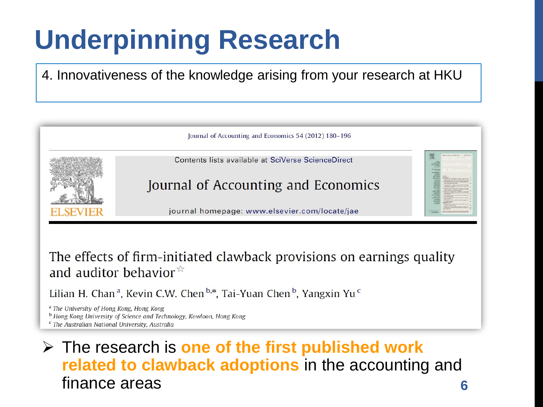4. Innovativeness of the knowledge arising from your research at HKU



The effects of firm-initiated clawback provisions on earnings quality and auditor behavior  $\overline{x}$ 

Lilian H. Chan<sup>a</sup>, Kevin C.W. Chen<sup>b,\*</sup>, Tai-Yuan Chen<sup>b</sup>, Yangxin Yu<sup>c</sup>

<sup>a</sup> The University of Hong Kong, Hong Kong

<sup>b</sup> Hong Kong University of Science and Technology, Kowloon, Hong Kong

<sup>c</sup> The Australian National University, Australia

#### The research is **one of the first published work related to clawback adoptions** in the accounting and finance areas **6**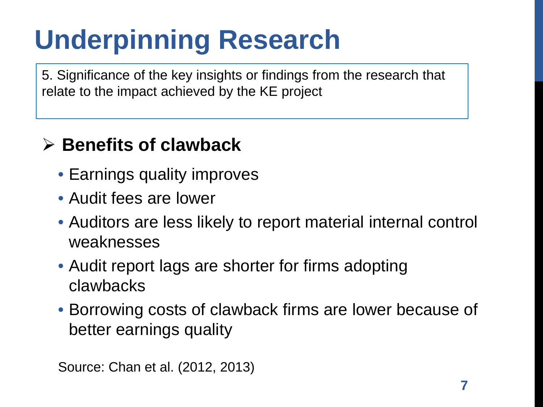5. Significance of the key insights or findings from the research that relate to the impact achieved by the KE project

#### **Benefits of clawback**

- Earnings quality improves
- Audit fees are lower
- Auditors are less likely to report material internal control weaknesses
- Audit report lags are shorter for firms adopting clawbacks
- Borrowing costs of clawback firms are lower because of better earnings quality

Source: Chan et al. (2012, 2013)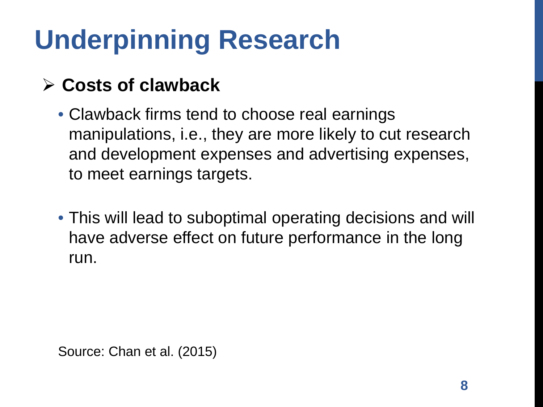#### **Costs of clawback**

- Clawback firms tend to choose real earnings manipulations, i.e., they are more likely to cut research and development expenses and advertising expenses, to meet earnings targets.
- This will lead to suboptimal operating decisions and will have adverse effect on future performance in the long run.

Source: Chan et al. (2015)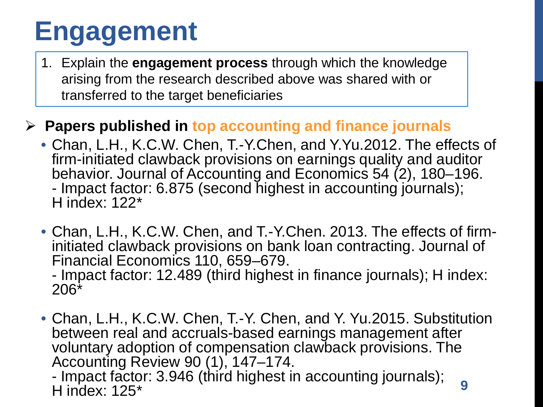### **Engagement**

1. Explain the **engagement process** through which the knowledge arising from the research described above was shared with or transferred to the target beneficiaries

#### **Papers published in top accounting and finance journals**

- Chan, L.H., K.C.W. Chen, T.-Y.Chen, and Y.Yu.2012. The effects of firm-initiated clawback provisions on earnings quality and auditor - Impact factor: 6.875 (second highest in accounting journals); H index: 122\*
- Chan, L.H., K.C.W. Chen, and T.-Y.Chen. 2013. The effects of firm- initiated clawback provisions on bank loan contracting. Journal of

- Impact factor: 12.489 (third highest in finance journals); H index: 206\*

• Chan, L.H., K.C.W. Chen, T.-Y. Chen, and Y. Yu.2015. Substitution between real and accruals-based earnings management after voluntary adoption of compensation clawback provisions. The Accounting Review 90 (1), 147–174.

- Impact factor: 3.946 (third highest in accounting journals); H index: 125\* **9**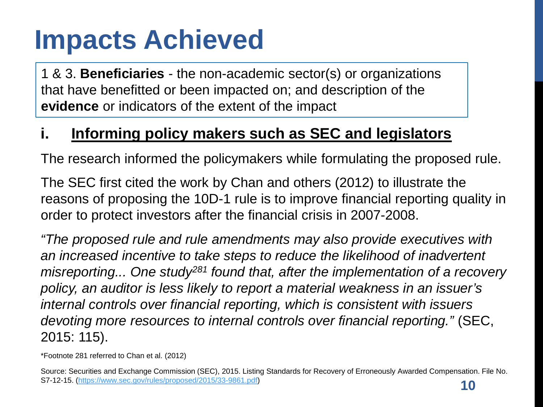1 & 3. **Beneficiaries** - the non-academic sector(s) or organizations that have benefitted or been impacted on; and description of the **evidence** or indicators of the extent of the impact

#### **i. Informing policy makers such as SEC and legislators**

The research informed the policymakers while formulating the proposed rule.

The SEC first cited the work by Chan and others (2012) to illustrate the reasons of proposing the 10D-1 rule is to improve financial reporting quality in order to protect investors after the financial crisis in 2007-2008.

*"The proposed rule and rule amendments may also provide executives with an increased incentive to take steps to reduce the likelihood of inadvertent misreporting... One study281 found that, after the implementation of a recovery policy, an auditor is less likely to report a material weakness in an issuer's internal controls over financial reporting, which is consistent with issuers devoting more resources to internal controls over financial reporting."* (SEC, 2015: 115).

\*Footnote 281 referred to Chan et al. (2012)

Source: Securities and Exchange Commission (SEC), 2015. Listing Standards for Recovery of Erroneously Awarded Compensation. File No. S7-12-15. ([https://www.sec.gov/rules/proposed/2015/33-9861.pdf\)](https://www.sec.gov/rules/proposed/2015/33-9861.pdf)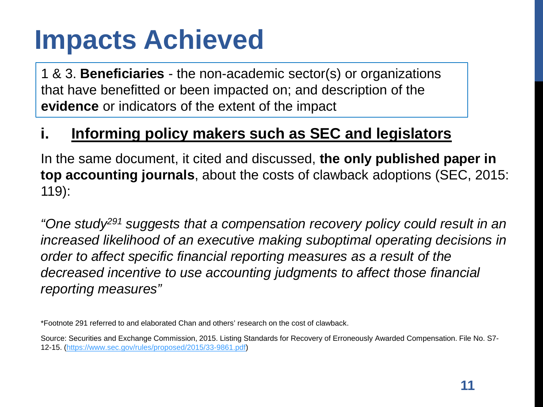1 & 3. **Beneficiaries** - the non-academic sector(s) or organizations that have benefitted or been impacted on; and description of the **evidence** or indicators of the extent of the impact

#### **i. Informing policy makers such as SEC and legislators**

In the same document, it cited and discussed, **the only published paper in top accounting journals**, about the costs of clawback adoptions (SEC, 2015: 119):

*"One study291 suggests that a compensation recovery policy could result in an increased likelihood of an executive making suboptimal operating decisions in order to affect specific financial reporting measures as a result of the decreased incentive to use accounting judgments to affect those financial reporting measures"*

\*Footnote 291 referred to and elaborated Chan and others' research on the cost of clawback.

Source: Securities and Exchange Commission, 2015. Listing Standards for Recovery of Erroneously Awarded Compensation. File No. S7- 12-15. [\(https://www.sec.gov/rules/proposed/2015/33-9861.pdf\)](https://www.sec.gov/rules/proposed/2015/33-9861.pdf)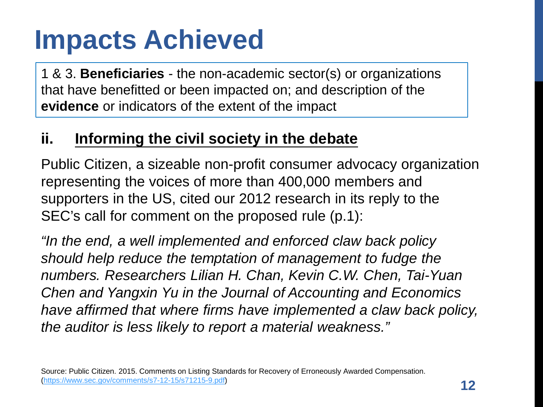1 & 3. **Beneficiaries** - the non-academic sector(s) or organizations that have benefitted or been impacted on; and description of the **evidence** or indicators of the extent of the impact

#### **ii. Informing the civil society in the debate**

Public Citizen, a sizeable non-profit consumer advocacy organization representing the voices of more than 400,000 members and supporters in the US, cited our 2012 research in its reply to the SEC's call for comment on the proposed rule (p.1):

*"In the end, a well implemented and enforced claw back policy should help reduce the temptation of management to fudge the numbers. Researchers Lilian H. Chan, Kevin C.W. Chen, Tai-Yuan Chen and Yangxin Yu in the Journal of Accounting and Economics have affirmed that where firms have implemented a claw back policy, the auditor is less likely to report a material weakness."*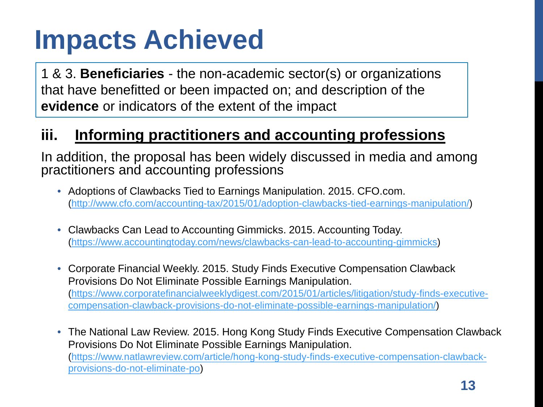1 & 3. **Beneficiaries** - the non-academic sector(s) or organizations that have benefitted or been impacted on; and description of the **evidence** or indicators of the extent of the impact

#### **iii. Informing practitioners and accounting professions**

In addition, the proposal has been widely discussed in media and among practitioners and accounting professions

- Adoptions of Clawbacks Tied to Earnings Manipulation. 2015. CFO.com. (<http://www.cfo.com/accounting-tax/2015/01/adoption-clawbacks-tied-earnings-manipulation/>)
- Clawbacks Can Lead to Accounting Gimmicks. 2015. Accounting Today. ([https://www.accountingtoday.com/news/clawbacks-can-lead-to-accounting-gimmicks\)](https://www.accountingtoday.com/news/clawbacks-can-lead-to-accounting-gimmicks)
- Corporate Financial Weekly. 2015. Study Finds Executive Compensation Clawback Provisions Do Not Eliminate Possible Earnings Manipulation. [\(https://www.corporatefinancialweeklydigest.com/2015/01/articles/litigation/study-finds-executive](https://www.corporatefinancialweeklydigest.com/2015/01/articles/litigation/study-finds-executive-compensation-clawback-provisions-do-not-eliminate-possible-earnings-manipulation/)compensation-clawback-provisions-do-not-eliminate-possible-earnings-manipulation/)
- The National Law Review. 2015. Hong Kong Study Finds Executive Compensation Clawback Provisions Do Not Eliminate Possible Earnings Manipulation. [\(https://www.natlawreview.com/article/hong-kong-study-finds-executive-compensation-clawback](https://www.natlawreview.com/article/hong-kong-study-finds-executive-compensation-clawback-provisions-do-not-eliminate-po)provisions-do-not-eliminate-po)